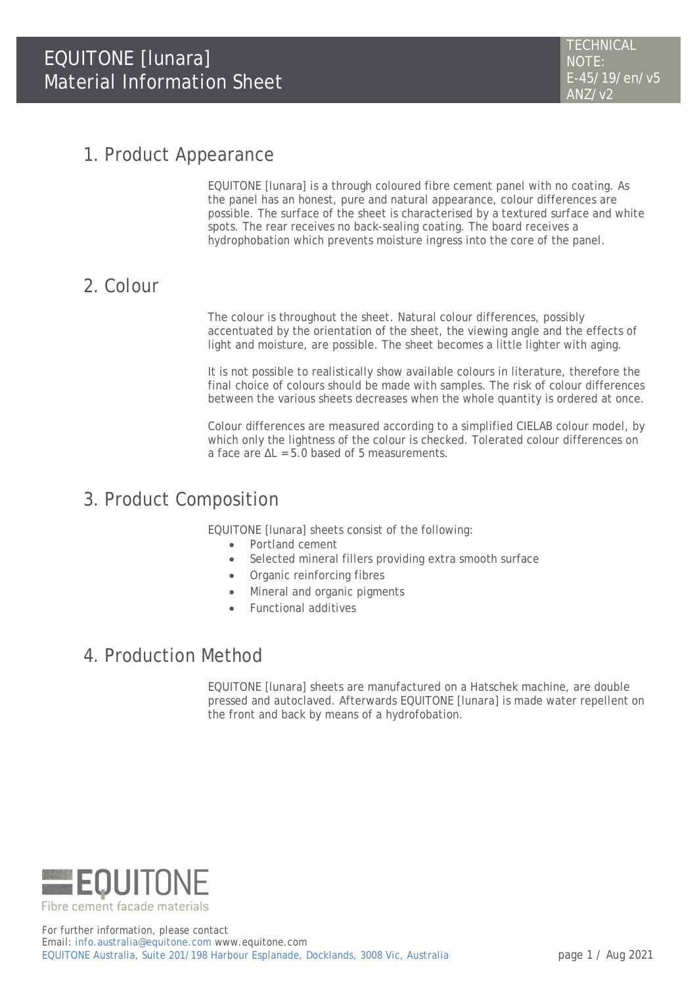### 1. Product Appearance

EQUITONE [lunara] is a through coloured fibre cement panel with no coating. As the panel has an honest, pure and natural appearance, colour differences are possible. The surface of the sheet is characterised by a textured surface and white spots. The rear receives no back-sealing coating. The board receives a hydrophobation which prevents moisture ingress into the core of the panel.

## 2. Colour

The colour is throughout the sheet. Natural colour differences, possibly accentuated by the orientation of the sheet, the viewing angle and the effects of light and moisture, are possible. The sheet becomes a little lighter with aging.

It is not possible to realistically show available colours in literature, therefore the final choice of colours should be made with samples. The risk of colour differences between the various sheets decreases when the whole quantity is ordered at once.

Colour differences are measured according to a simplified CIELAB colour model, by which only the lightness of the colour is checked. Tolerated colour differences on a face are  $\Delta L = 5.0$  based of 5 measurements.

## 3. Product Composition

EQUITONE [lunara] sheets consist of the following:

- Portland cement
- Selected mineral fillers providing extra smooth surface
- Organic reinforcing fibres
- Mineral and organic pigments
- Functional additives

### 4. Production Method

EQUITONE [lunara] sheets are manufactured on a Hatschek machine, are double pressed and autoclaved. Afterwards EQUITONE [lunara] is made water repellent on the front and back by means of a hydrofobation.

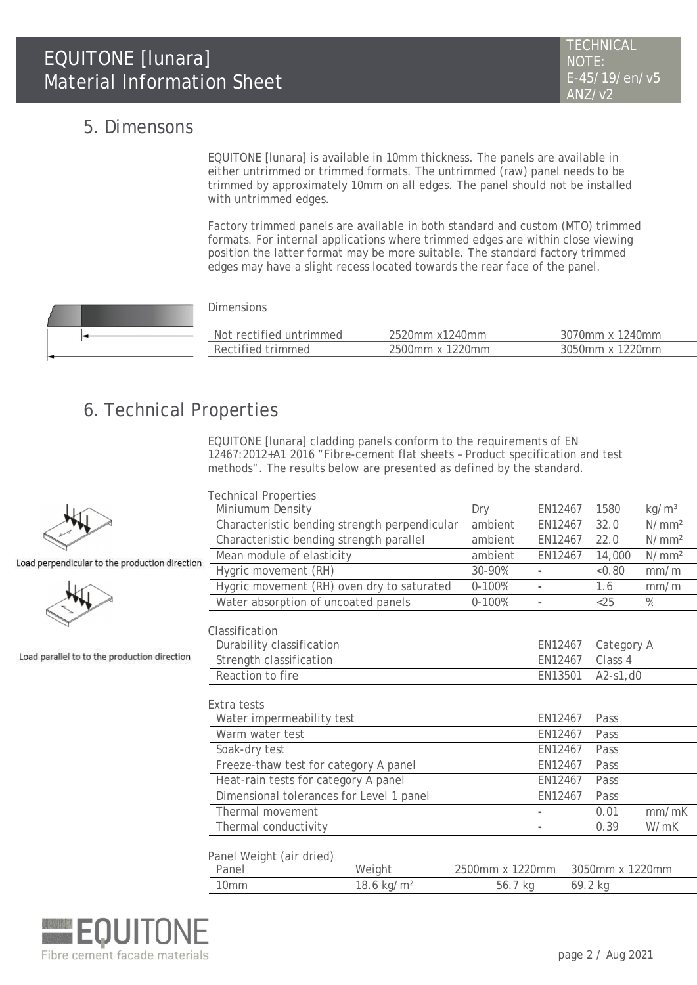### 5. Dimensons

EQUITONE [lunara] is available in 10mm thickness. The panels are available in either untrimmed or trimmed formats. The untrimmed (raw) panel needs to be trimmed by approximately 10mm on all edges. The panel should not be installed with untrimmed edges.

Factory trimmed panels are available in both standard and custom (MTO) trimmed formats. For internal applications where trimmed edges are within close viewing position the latter format may be more suitable. The standard factory trimmed edges may have a slight recess located towards the rear face of the panel.

#### Dimensions

| Not rectified untrimmed | 2520mm x1240mm  | 3070mm x 1240mm |
|-------------------------|-----------------|-----------------|
| Rectified trimmed       | 2500mm x 1220mm | 3050mm x 1220mm |
|                         |                 |                 |

# 6. Technical Properties

EQUITONE [lunara] cladding panels conform to the requirements of EN 12467:2012+A1 2016 "Fibre-cement flat sheets – Product specification and test methods". The results below are presented as defined by the standard.

| <b>Technical Properties</b>              |                                               |                 |                |                 |                   |  |
|------------------------------------------|-----------------------------------------------|-----------------|----------------|-----------------|-------------------|--|
| Miniumum Density                         |                                               | Dry             | EN12467        | 1580            | kg/m <sup>3</sup> |  |
|                                          | Characteristic bending strength perpendicular | ambient         | EN12467        | 32.0            | N/mm <sup>2</sup> |  |
|                                          | Characteristic bending strength parallel      |                 | EN12467        | 22.0            | N/mm <sup>2</sup> |  |
| Mean module of elasticity                |                                               | ambient         | EN12467        | 14,000          | N/mm <sup>2</sup> |  |
| 'n<br>Hygric movement (RH)               |                                               | 30-90%          |                | < 0.80          | mm/m              |  |
|                                          | Hygric movement (RH) oven dry to saturated    | $0 - 100%$      | $\overline{a}$ | 1.6             | mm/m              |  |
|                                          | Water absorption of uncoated panels           | $0 - 100%$      |                | $<$ 25          | $\frac{0}{0}$     |  |
|                                          |                                               |                 |                |                 |                   |  |
| Classification                           |                                               |                 |                |                 |                   |  |
| Durability classification                |                                               |                 | EN12467        | Category A      |                   |  |
| Strength classification                  |                                               |                 | EN12467        | Class 4         |                   |  |
| Reaction to fire                         |                                               |                 | EN13501        |                 | $A2-S1, d0$       |  |
|                                          |                                               |                 |                |                 |                   |  |
| Extra tests                              |                                               |                 |                |                 |                   |  |
| Water impermeability test                |                                               |                 | EN12467        | Pass            |                   |  |
| Warm water test                          |                                               |                 | EN12467        | Pass            |                   |  |
| Soak-dry test                            |                                               |                 | EN12467        | Pass            |                   |  |
|                                          | Freeze-thaw test for category A panel         |                 | EN12467        | Pass            |                   |  |
| Heat-rain tests for category A panel     |                                               | EN12467         | Pass           |                 |                   |  |
| Dimensional tolerances for Level 1 panel |                                               |                 | EN12467        | Pass            |                   |  |
| Thermal movement                         |                                               |                 |                | 0.01            | mm/mK             |  |
| Thermal conductivity                     |                                               |                 |                | 0.39            | W/mK              |  |
|                                          |                                               |                 |                |                 |                   |  |
| Panel Weight (air dried)                 |                                               |                 |                |                 |                   |  |
| Panel                                    | Weight                                        | 2500mm x 1220mm |                | 3050mm x 1220mm |                   |  |
| 10 <sub>mm</sub>                         | 18.6 kg/m <sup>2</sup>                        | 56.7 kg         |                | 69.2 kg         |                   |  |



Load perpendicular to the production directio

Load parallel to to the production direction

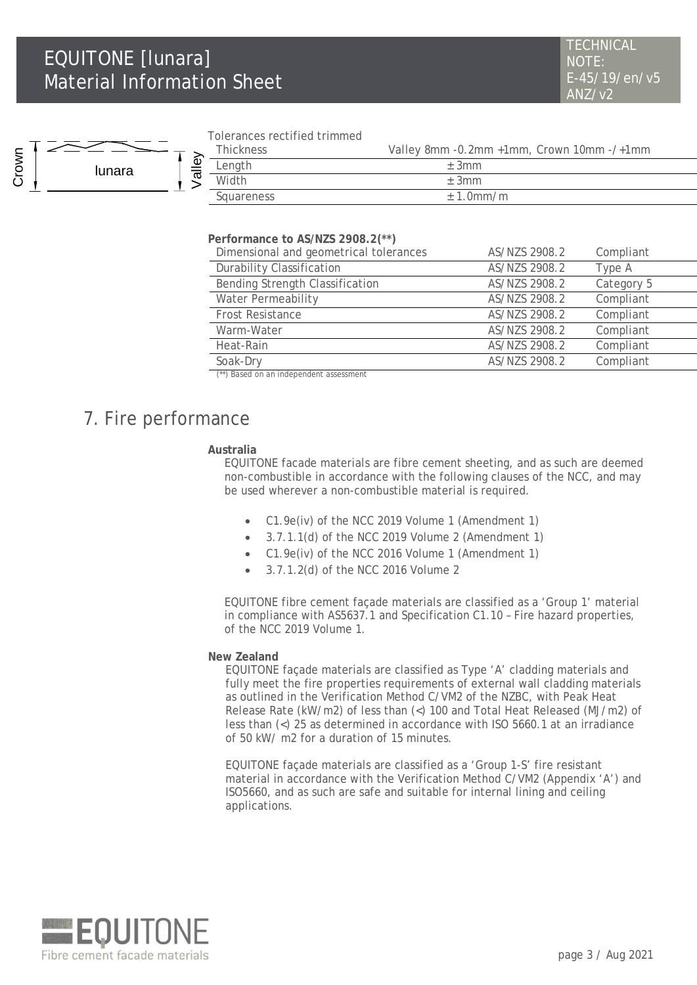### EQUITONE [lunara] Material Information Sheet



#### Tolerances rectified trimmed

| <b>Thickness</b> | Valley 8mm -0.2mm +1mm, Crown 10mm -/+1mm |
|------------------|-------------------------------------------|
| Length           | ± 3mm                                     |
| Width            | $+3mm$                                    |
| Squareness       | $\pm$ 1.0mm/m                             |
|                  |                                           |

#### **Performance to AS/NZS 2908.2(\*\*)**

| Dimensional and geometrical tolerances                                                               | AS/NZS 2908.2 | Compliant  |
|------------------------------------------------------------------------------------------------------|---------------|------------|
| <b>Durability Classification</b>                                                                     | AS/NZS 2908.2 | Type A     |
| Bending Strength Classification                                                                      | AS/NZS 2908.2 | Category 5 |
| Water Permeability                                                                                   | AS/NZS 2908.2 | Compliant  |
| Frost Resistance                                                                                     | AS/NZS 2908.2 | Compliant  |
| Warm-Water                                                                                           | AS/NZS 2908.2 | Compliant  |
| Heat-Rain                                                                                            | AS/NZS 2908.2 | Compliant  |
| Soak-Dry                                                                                             | AS/NZS 2908.2 | Compliant  |
| $\left(\frac{1}{2}, \frac{1}{2}\right)$ . Denoted the contract of the decomposition of $\frac{1}{2}$ |               |            |

(\*\*) Based on an independent assessment

### 7. Fire performance

#### **Australia**

EQUITONE facade materials are fibre cement sheeting, and as such are deemed non-combustible in accordance with the following clauses of the NCC, and may be used wherever a non-combustible material is required.

- C1.9e(iv) of the NCC 2019 Volume 1 (Amendment 1)
- 3.7.1.1(d) of the NCC 2019 Volume 2 (Amendment 1)
- C1.9e(iv) of the NCC 2016 Volume 1 (Amendment 1)
- 3.7.1.2(d) of the NCC 2016 Volume 2

EQUITONE fibre cement façade materials are classified as a 'Group 1' material in compliance with AS5637.1 and Specification C1.10 – Fire hazard properties, of the NCC 2019 Volume 1.

#### **New Zealand**

EQUITONE façade materials are classified as Type 'A' cladding materials and fully meet the fire properties requirements of external wall cladding materials as outlined in the Verification Method C/VM2 of the NZBC, with Peak Heat Release Rate (kW/m2) of less than (<) 100 and Total Heat Released (MJ/m2) of less than (<) 25 as determined in accordance with ISO 5660.1 at an irradiance of 50 kW/ m2 for a duration of 15 minutes.

EQUITONE façade materials are classified as a 'Group 1-S' fire resistant material in accordance with the Verification Method C/VM2 (Appendix 'A') and ISO5660, and as such are safe and suitable for internal lining and ceiling applications.

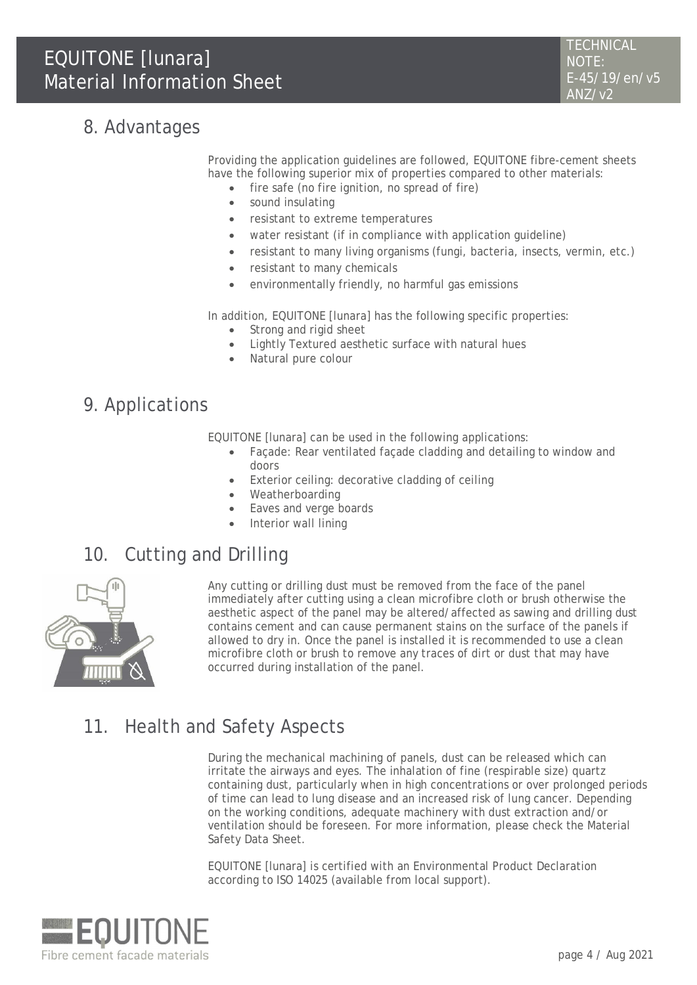# 8. Advantages

Providing the application guidelines are followed, EQUITONE fibre-cement sheets have the following superior mix of properties compared to other materials:

- fire safe (no fire ignition, no spread of fire)
- sound insulating
- resistant to extreme temperatures
- water resistant (if in compliance with application guideline)
- resistant to many living organisms (fungi, bacteria, insects, vermin, etc.)
- resistant to many chemicals
- environmentally friendly, no harmful gas emissions

In addition, EQUITONE [lunara] has the following specific properties:

- Strong and rigid sheet
- Lightly Textured aesthetic surface with natural hues
- Natural pure colour

### 9. Applications

EQUITONE [lunara] can be used in the following applications:

- Façade: Rear ventilated façade cladding and detailing to window and doors
- Exterior ceiling: decorative cladding of ceiling
- Weatherboarding
- Eaves and verge boards
- Interior wall lining

## 10. Cutting and Drilling



Any cutting or drilling dust must be removed from the face of the panel immediately after cutting using a clean microfibre cloth or brush otherwise the aesthetic aspect of the panel may be altered/affected as sawing and drilling dust contains cement and can cause permanent stains on the surface of the panels if allowed to dry in. Once the panel is installed it is recommended to use a clean microfibre cloth or brush to remove any traces of dirt or dust that may have occurred during installation of the panel.

# 11. Health and Safety Aspects

During the mechanical machining of panels, dust can be released which can irritate the airways and eyes. The inhalation of fine (respirable size) quartz containing dust, particularly when in high concentrations or over prolonged periods of time can lead to lung disease and an increased risk of lung cancer. Depending on the working conditions, adequate machinery with dust extraction and/or ventilation should be foreseen. For more information, please check the Material Safety Data Sheet.

EQUITONE [lunara] is certified with an Environmental Product Declaration according to ISO 14025 (available from local support).